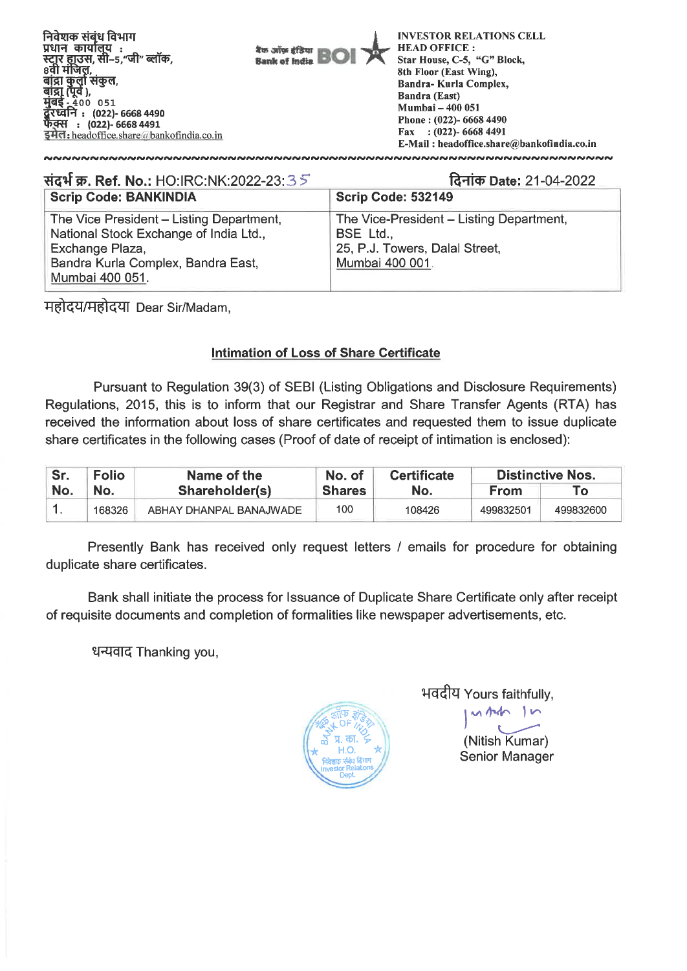

| संदर्भ क्र. Ref. No.: HO:IRC:NK:2022-23:35                                                                                                                     | दिनांक Date: 21-04-2022                                                                                    |  |  |  |
|----------------------------------------------------------------------------------------------------------------------------------------------------------------|------------------------------------------------------------------------------------------------------------|--|--|--|
| <b>Scrip Code: BANKINDIA</b>                                                                                                                                   | <b>Scrip Code: 532149</b>                                                                                  |  |  |  |
| The Vice President - Listing Department,<br>National Stock Exchange of India Ltd.,<br>Exchange Plaza,<br>Bandra Kurla Complex, Bandra East,<br>Mumbai 400 051. | The Vice-President - Listing Department,<br>BSE Ltd.,<br>25, P.J. Towers, Dalal Street,<br>Mumbai 400 001. |  |  |  |

महोदय/महोदया Dear Sir/Madam,

## **Intimation of Loss of Share Certificate**

Pursuant to Regulation 39(3) of SEBI (Listing Obligations and Disclosure Requirements) Regulations, 2015, this is to inform that our Registrar and Share Transfer Agents (RTA) has received the information about loss of share certificates and requested them to issue duplicate share certificates in the following cases (Proof of date of receipt of intimation is enclosed):

| Sr. | <b>Folio</b> | Name of the             | No. of        | <b>Certificate</b> |             | <b>Distinctive Nos.</b> |  |
|-----|--------------|-------------------------|---------------|--------------------|-------------|-------------------------|--|
| No. | No.          | Shareholder(s)          | <b>Shares</b> | No.                | <b>From</b> |                         |  |
|     | 168326       | ABHAY DHANPAL BANAJWADE | 100           | 108426             | 499832501   | 499832600               |  |

Presently Bank has received only request letters / emails for procedure for obtaining duplicate share certificates.

Bank shall initiate the process for Issuance of Duplicate Share Certificate only after receipt of requisite documents and completion of formalities like newspaper advertisements, etc.

धन्यवाद Thanking you,



भवदीय Yours faithfully,<br>| प्लानेक ने प्ला

 $\overline{\phantom{a}}$ (Nitish Kumar) Senior Manager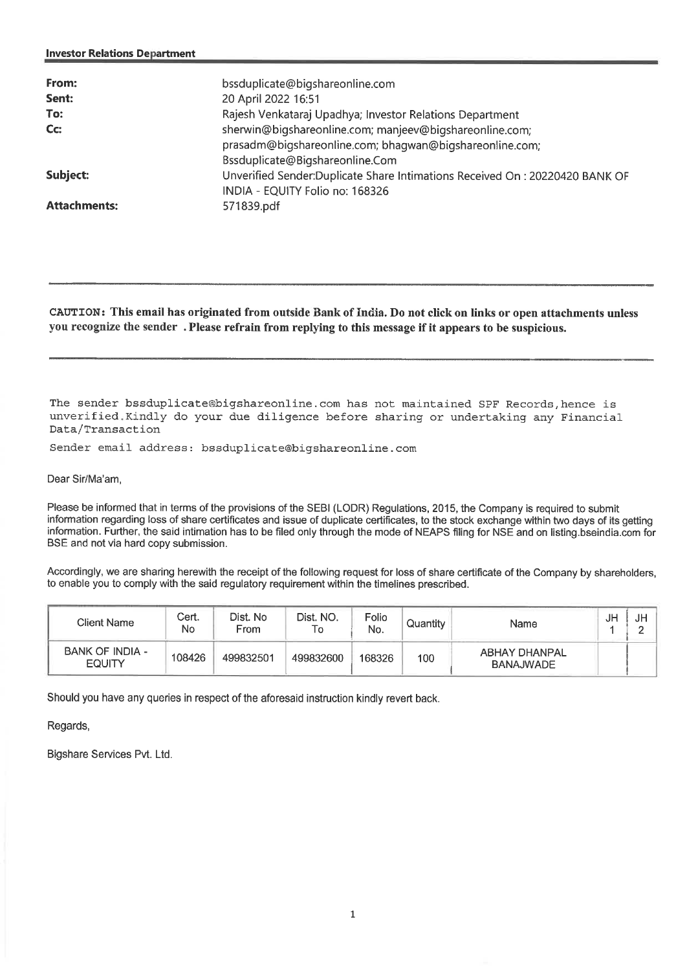| From:<br>Sent:      | bssduplicate@bigshareonline.com<br>20 April 2022 16:51                                                                                                |
|---------------------|-------------------------------------------------------------------------------------------------------------------------------------------------------|
| To:                 | Rajesh Venkataraj Upadhya; Investor Relations Department                                                                                              |
| Cc:                 | sherwin@bigshareonline.com; manjeev@bigshareonline.com;<br>prasadm@bigshareonline.com; bhagwan@bigshareonline.com;<br>Bssduplicate@Bigshareonline.Com |
| Subject:            | Unverified Sender:Duplicate Share Intimations Received On: 20220420 BANK OF<br>INDIA - EQUITY Folio no: 168326                                        |
| <b>Attachments:</b> | 571839.pdf                                                                                                                                            |

## **CAUTION: This email has originated from outside Bank of India. Do not click on links or open attachments unless you recognize the sender . Please refrain from replying to this message if it appears to be suspicious.**

The sender bssduplicate@bigshareonline.com has not maintained SPF Records,hence is unverified.Kindly do your due diligence before sharing or undertaking any Financial Data/Transaction

Sender email address: bssduplicate@bigshareonline.com

Dear Sir/Ma'am,

Please be informed that in terms of the provisions of the SEBI (LODR) Regulations, 2015, the Company is required to submit information regarding loss of share certificates and issue of duplicate certificates, to the stock exchange within two days of its getting information. Further, the said intimation has to be filed only through the mode of NEAPS filing for NSE and on listing.bseindia.com for BSE and not via hard copy submission.

Accordingly, we are sharing herewith the receipt of the following request for loss of share certificate of the Company by shareholders, to enable you to comply with the said regulatory requirement within the timelines prescribed.

| Client Name                             | Cert.<br>No | Dist. No<br>From | Dist. NO.<br>١o | Folio<br>No. | Quantity | Name                                     | JH | JH |
|-----------------------------------------|-------------|------------------|-----------------|--------------|----------|------------------------------------------|----|----|
| <b>BANK OF INDIA -</b><br><b>EQUITY</b> | 108426      | 499832501        | 499832600       | 168326       | 100      | <b>ABHAY DHANPAL</b><br><b>BANAJWADE</b> |    |    |

Should you have any queries in respect of the aforesaid instruction kindly revert back.

Regards,

Bigshare Services Pvt. Ltd.